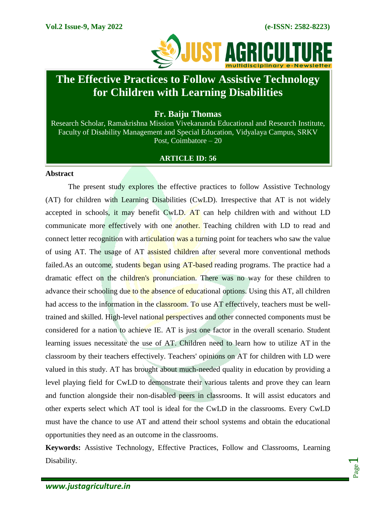Page  $\overline{\phantom{0}}$ 



# **The Effective Practices to Follow Assistive Technology for Children with Learning Disabilities**

**Fr. Baiju Thomas**

Research Scholar, Ramakrishna Mission Vivekananda Educational and Research Institute, Faculty of Disability Management and Special Education, Vidyalaya Campus, SRKV Post, Coimbatore – 20

# **ARTICLE ID: 56**

## **Abstract**

The present study explores the effective practices to follow Assistive Technology (AT) for children with Learning Disabilities (CwLD). Irrespective that AT is not widely accepted in schools, it may benefit CwLD. AT can help children with and without LD communicate more effectively with one another. Teaching children with LD to read and connect letter recognition with articulation was a turning point for teachers who saw the value of using AT. The usage of AT assisted children after several more conventional methods failed.As an outcome, students began using AT-based reading programs. The practice had a dramatic effect on the children's pronunciation. There was no way for these children to advance their schooling due to the absence of educational options. Using this AT, all children had access to the information in the classroom. To use AT effectively, teachers must be welltrained and skilled. High-level national perspectives and other connected components must be considered for a nation to achieve IE. AT is just one factor in the overall scenario. Student learning issues necessitate the use of AT. Children need to learn how to utilize AT in the classroom by their teachers effectively. Teachers' opinions on AT for children with LD were valued in this study. AT has brought about much-needed quality in education by providing a level playing field for CwLD to demonstrate their various talents and prove they can learn and function alongside their non-disabled peers in classrooms. It will assist educators and other experts select which AT tool is ideal for the CwLD in the classrooms. Every CwLD must have the chance to use AT and attend their school systems and obtain the educational opportunities they need as an outcome in the classrooms.

**Keywords:** Assistive Technology, Effective Practices, Follow and Classrooms, Learning Disability.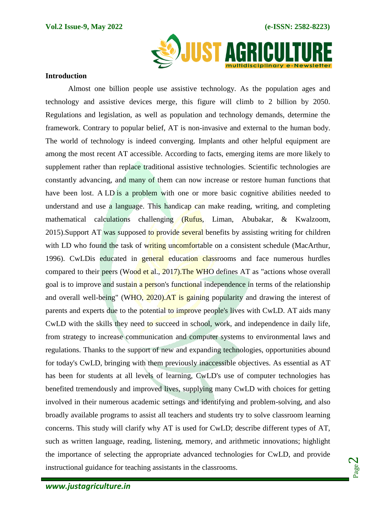

#### **Introduction**

Almost one billion people use assistive technology. As the population ages and technology and assistive devices merge, this figure will climb to 2 billion by 2050. Regulations and legislation, as well as population and technology demands, determine the framework. Contrary to popular belief, AT is non-invasive and external to the human body. The world of technology is indeed converging. Implants and other helpful equipment are among the most recent AT accessible. According to facts, emerging items are more likely to supplement rather than replace traditional assistive technologies. Scientific technologies are constantly advancing, and many of them can now increase or restore human functions that have been lost. A LD is a problem with one or more basic cognitive abilities needed to understand and use a language. This handicap can make reading, writing, and completing mathematical calculations challenging (Rufus, Liman, Abubakar, & Kwalzoom, 2015). Support AT was supposed to provide several benefits by assisting writing for children with LD who found the task of writing uncomfortable on a consistent schedule (MacArthur, 1996). CwLDis educated in general education classrooms and face numerous hurdles compared to their peers (Wood et al., 2017). The WHO defines AT as "actions whose overall goal is to improve and sustain a person's functional independence in terms of the relationship and overall well-being" (WHO, 2020). AT is gaining popularity and drawing the interest of parents and experts due to the potential to improve people's lives with CwLD. AT aids many CwLD with the skills they need to succeed in school, work, and independence in daily life, from strategy to increase communication and computer systems to environmental laws and regulations. Thanks to the support of new and expanding technologies, opportunities abound for today's CwLD, bringing with them previously inaccessible objectives. As essential as AT has been for students at all levels of learning, CwLD's use of computer technologies has benefited tremendously and improved lives, supplying many CwLD with choices for getting involved in their numerous academic settings and identifying and problem-solving, and also broadly available programs to assist all teachers and students try to solve classroom learning concerns. This study will clarify why AT is used for CwLD; describe different types of AT, such as written language, reading, listening, memory, and arithmetic innovations; highlight the importance of selecting the appropriate advanced technologies for CwLD, and provide instructional guidance for teaching assistants in the classrooms.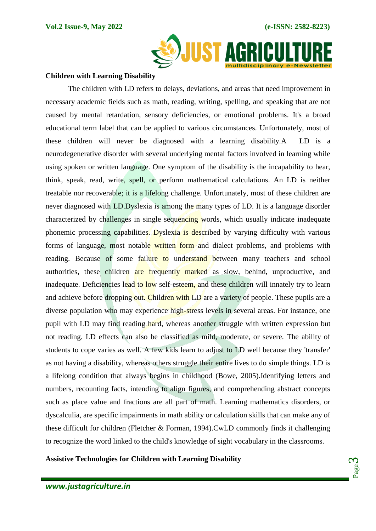

#### **Children with Learning Disability**

The children with LD refers to delays, deviations, and areas that need improvement in necessary academic fields such as math, reading, writing, spelling, and speaking that are not caused by mental retardation, sensory deficiencies, or emotional problems. It's a broad educational term label that can be applied to various circumstances. Unfortunately, most of these children will never be diagnosed with a learning disability.A LD is a neurodegenerative disorder with several underlying mental factors involved in learning while using spoken or written language. One symptom of the disability is the incapability to hear, think, speak, read, write, spell, or perform mathematical calculations. An LD is neither treatable nor recoverable; it is a lifelong challenge. Unfortunately, most of these children are never diagnosed with LD.Dyslexia is among the many types of LD. It is a language disorder characterized by challenges in single sequencing words, which usually indicate inadequate phonemic processing capabilities. Dyslexia is described by varying difficulty with various forms of language, most notable written form and dialect problems, and problems with reading. Because of some failure to understand between many teachers and school authorities, these children are frequently marked as slow, behind, unproductive, and inadequate. Deficiencies lead to low self-esteem, and these children will innately try to learn and achieve before dropping out. Children with LD are a variety of people. These pupils are a diverse population who may experience high-stress levels in several areas. For instance, one pupil with LD may find reading hard, whereas another struggle with written expression but not reading. LD effects can also be classified as mild, moderate, or severe. The ability of students to cope varies as well. A few kids learn to adjust to LD well because they 'transfer' as not having a disability, whereas others struggle their entire lives to do simple things. LD is a lifelong condition that always begins in childhood (Bowe, 2005).Identifying letters and numbers, recounting facts, intending to align figures, and comprehending abstract concepts such as place value and fractions are all part of math. Learning mathematics disorders, or dyscalculia, are specific impairments in math ability or calculation skills that can make any of these difficult for children (Fletcher & Forman, 1994).CwLD commonly finds it challenging to recognize the word linked to the child's knowledge of sight vocabulary in the classrooms.

**Assistive Technologies for Children with Learning Disability**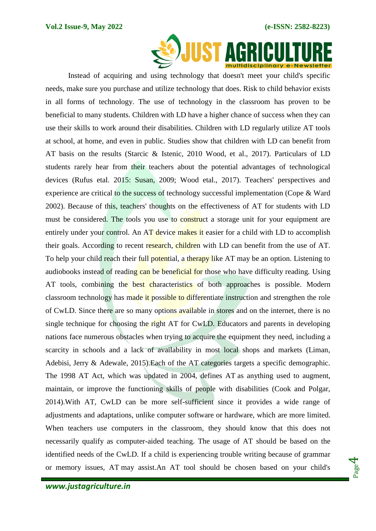

Instead of acquiring and using technology that doesn't meet your child's specific needs, make sure you purchase and utilize technology that does. Risk to child behavior exists in all forms of technology. The use of technology in the classroom has proven to be beneficial to many students. Children with LD have a higher chance of success when they can use their skills to work around their disabilities. Children with LD regularly utilize AT tools at school, at home, and even in public. Studies show that children with LD can benefit from AT basis on the results (Starcic & Istenic, 2010 Wood, et al., 2017). Particulars of LD students rarely hear from their teachers about the potential advantages of technological devices (Rufus etal. 2015: Susan, 2009; Wood etal., 2017). Teachers' perspectives and experience are critical to the success of technology successful implementation (Cope & Ward 2002). Because of this, teachers' thoughts on the effectiveness of AT for students with LD must be considered. The tools you use to construct a storage unit for your equipment are entirely under your control. An AT device makes it easier for a child with LD to accomplish their goals. According to recent research, children with LD can benefit from the use of AT. To help your child reach their full potential, a therapy like AT may be an option. Listening to audiobooks instead of reading can be beneficial for those who have difficulty reading. Using AT tools, combining the best characteristics of both approaches is possible. Modern classroom technology has made it possible to differentiate instruction and strengthen the role of CwLD. Since there are so many options available in stores and on the internet, there is no single technique for choosing the right AT for CwLD. Educators and parents in developing nations face numerous obstacles when trying to acquire the equipment they need, including a scarcity in schools and a lack of availability in most local shops and markets (Liman, Adebisi, Jerry & Adewale, 2015).Each of the AT categories targets a specific demographic. The 1998 AT Act, which was updated in 2004, defines AT as anything used to augment, maintain, or improve the functioning skills of people with disabilities (Cook and Polgar, 2014).With AT, CwLD can be more self-sufficient since it provides a wide range of adjustments and adaptations, unlike computer software or hardware, which are more limited. When teachers use computers in the classroom, they should know that this does not necessarily qualify as computer-aided teaching. The usage of AT should be based on the identified needs of the CwLD. If a child is experiencing trouble writing because of grammar or memory issues, AT may assist.An AT tool should be chosen based on your child's

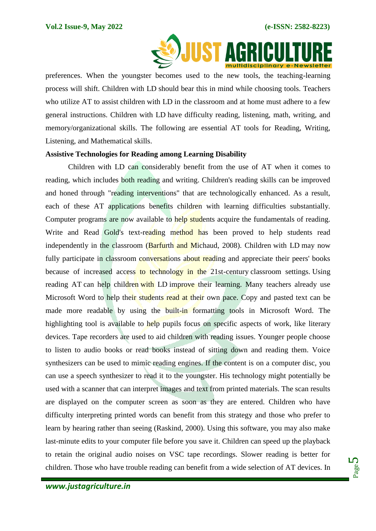

preferences. When the youngster becomes used to the new tools, the teaching-learning process will shift. Children with LD should bear this in mind while choosing tools. Teachers who utilize AT to assist children with LD in the classroom and at home must adhere to a few general instructions. Children with LD have difficulty reading, listening, math, writing, and memory/organizational skills. The following are essential AT tools for Reading, Writing, Listening, and Mathematical skills.

## **Assistive Technologies for Reading among Learning Disability**

Children with LD can considerably benefit from the use of AT when it comes to reading, which includes both reading and writing. Children's reading skills can be improved and honed through "reading interventions" that are technologically enhanced. As a result, each of these AT applications benefits children with learning difficulties substantially. Computer programs are now available to help students acquire the fundamentals of reading. Write and Read Gold's text-reading method has been proved to help students read independently in the classroom (Barfurth and Michaud, 2008). Children with LD may now fully participate in classroom conversations about reading and appreciate their peers' books because of increased access to technology in the 21st-century classroom settings. Using reading AT can help children with LD improve their learning. Many teachers already use Microsoft Word to help their students read at their own pace. Copy and pasted text can be made more readable by using the built-in formatting tools in Microsoft Word. The highlighting tool is available to help pupils focus on specific aspects of work, like literary devices. Tape recorders are used to aid children with reading issues. Younger people choose to listen to audio books or read books instead of sitting down and reading them. Voice synthesizers can be used to mimic reading engines. If the content is on a computer disc, you can use a speech synthesizer to read it to the youngster. His technology might potentially be used with a scanner that can interpret images and text from printed materials. The scan results are displayed on the computer screen as soon as they are entered. Children who have difficulty interpreting printed words can benefit from this strategy and those who prefer to learn by hearing rather than seeing (Raskind, 2000). Using this software, you may also make last-minute edits to your computer file before you save it. Children can speed up the playback to retain the original audio noises on VSC tape recordings. Slower reading is better for children. Those who have trouble reading can benefit from a wide selection of AT devices. In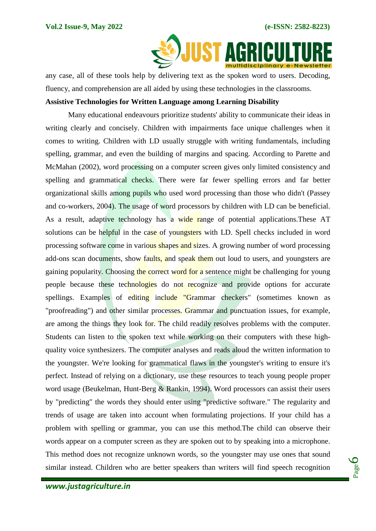

any case, all of these tools help by delivering text as the spoken word to users. Decoding, fluency, and comprehension are all aided by using these technologies in the classrooms.

## **Assistive Technologies for Written Language among Learning Disability**

Many educational endeavours prioritize students' ability to communicate their ideas in writing clearly and concisely. Children with impairments face unique challenges when it comes to writing. Children with LD usually struggle with writing fundamentals, including spelling, grammar, and even the building of margins and spacing. According to Parette and McMahan (2002), word processing on a computer screen gives only limited consistency and spelling and grammatical checks. There were far fewer spelling errors and far better organizational skills among pupils who used word processing than those who didn't (Passey and co-workers, 2004). The usage of word processors by children with LD can be beneficial. As a result, adaptive technology has a wide range of potential applications.These AT solutions can be helpful in the case of youngsters with LD. Spell checks included in word processing software come in various shapes and sizes. A growing number of word processing add-ons scan documents, show faults, and speak them out loud to users, and youngsters are gaining popularity. Choosing the correct word for a sentence might be challenging for young people because these technologies do not recognize and provide options for accurate spellings. Examples of editing include "Grammar checkers" (sometimes known as "proofreading") and other similar processes. Grammar and punctuation issues, for example, are among the things they look for. The child readily resolves problems with the computer. Students can listen to the spoken text while working on their computers with these highquality voice synthesizers. The computer analyses and reads aloud the written information to the youngster. We're looking for grammatical flaws in the youngster's writing to ensure it's perfect. Instead of relying on a dictionary, use these resources to teach young people proper word usage (Beukelman, Hunt-Berg & Rankin, 1994). Word processors can assist their users by "predicting" the words they should enter using "predictive software." The regularity and trends of usage are taken into account when formulating projections. If your child has a problem with spelling or grammar, you can use this method.The child can observe their words appear on a computer screen as they are spoken out to by speaking into a microphone. This method does not recognize unknown words, so the youngster may use ones that sound similar instead. Children who are better speakers than writers will find speech recognition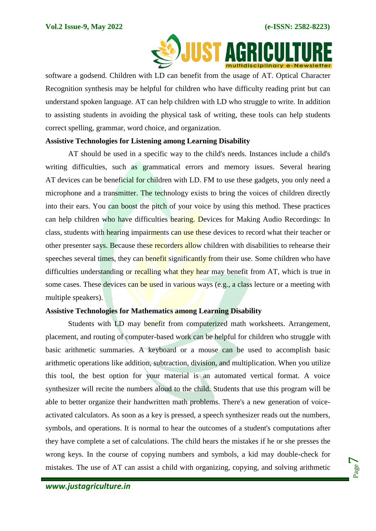

software a godsend. Children with LD can benefit from the usage of AT. Optical Character Recognition synthesis may be helpful for children who have difficulty reading print but can understand spoken language. AT can help children with LD who struggle to write. In addition to assisting students in avoiding the physical task of writing, these tools can help students correct spelling, grammar, word choice, and organization.

# **Assistive Technologies for Listening among Learning Disability**

AT should be used in a specific way to the child's needs. Instances include a child's writing difficulties, such as grammatical errors and memory issues. Several hearing AT devices can be beneficial for children with LD. FM to use these gadgets, you only need a microphone and a transmitter. The technology exists to bring the voices of children directly into their ears. You can boost the pitch of your voice by using this method. These practices can help children who have difficulties hearing. Devices for Making Audio Recordings: In class, students with hearing impairments can use these devices to record what their teacher or other presenter says. Because these recorders allow children with disabilities to rehearse their speeches several times, they can benefit significantly from their use. Some children who have difficulties understanding or recalling what they hear may benefit from AT, which is true in some cases. These devices can be used in various ways (e.g., a class lecture or a meeting with multiple speakers).

## **Assistive Technologies for Mathematics among Learning Disability**

Students with LD may benefit from computerized math worksheets. Arrangement, placement, and routing of computer-based work can be helpful for children who struggle with basic arithmetic summaries. A keyboard or a mouse can be used to accomplish basic arithmetic operations like addition, subtraction, division, and multiplication. When you utilize this tool, the best option for your material is an automated vertical format. A voice synthesizer will recite the numbers aloud to the child. Students that use this program will be able to better organize their handwritten math problems. There's a new generation of voiceactivated calculators. As soon as a key is pressed, a speech synthesizer reads out the numbers, symbols, and operations. It is normal to hear the outcomes of a student's computations after they have complete a set of calculations. The child hears the mistakes if he or she presses the wrong keys. In the course of copying numbers and symbols, a kid may double-check for mistakes. The use of AT can assist a child with organizing, copying, and solving arithmetic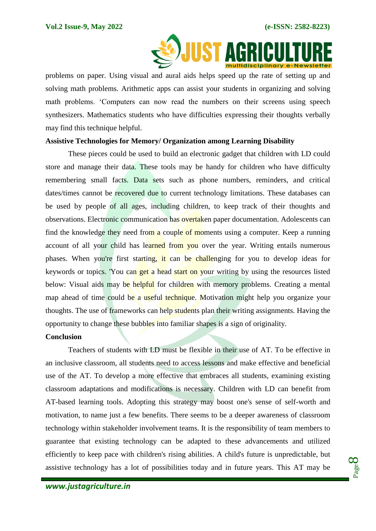

problems on paper. Using visual and aural aids helps speed up the rate of setting up and solving math problems. Arithmetic apps can assist your students in organizing and solving math problems. 'Computers can now read the numbers on their screens using speech synthesizers. Mathematics students who have difficulties expressing their thoughts verbally may find this technique helpful.

## **Assistive Technologies for Memory/ Organization among Learning Disability**

These pieces could be used to build an electronic gadget that children with LD could store and manage their data. These tools may be handy for children who have difficulty remembering small facts. Data sets such as phone numbers, reminders, and critical dates/times cannot be recovered due to current technology limitations. These databases can be used by people of all ages, including children, to keep track of their thoughts and observations. Electronic communication has overtaken paper documentation. Adolescents can find the knowledge they need from a couple of moments using a computer. Keep a running account of all your child has learned from you over the year. Writing entails numerous phases. When you're first starting, it can be challenging for you to develop ideas for keywords or topics. 'You can get a head start on your writing by using the resources listed below: Visual aids may be helpful for children with memory problems. Creating a mental map ahead of time could be a useful technique. Motivation might help you organize your thoughts. The use of frameworks can help students plan their writing assignments. Having the opportunity to change these bubbles into familiar shapes is a sign of originality.

#### **Conclusion**

Teachers of students with LD must be flexible in their use of AT. To be effective in an inclusive classroom, all students need to access lessons and make effective and beneficial use of the AT. To develop a more effective that embraces all students, examining existing classroom adaptations and modifications is necessary. Children with LD can benefit from AT-based learning tools. Adopting this strategy may boost one's sense of self-worth and motivation, to name just a few benefits. There seems to be a deeper awareness of classroom technology within stakeholder involvement teams. It is the responsibility of team members to guarantee that existing technology can be adapted to these advancements and utilized efficiently to keep pace with children's rising abilities. A child's future is unpredictable, but assistive technology has a lot of possibilities today and in future years. This AT may be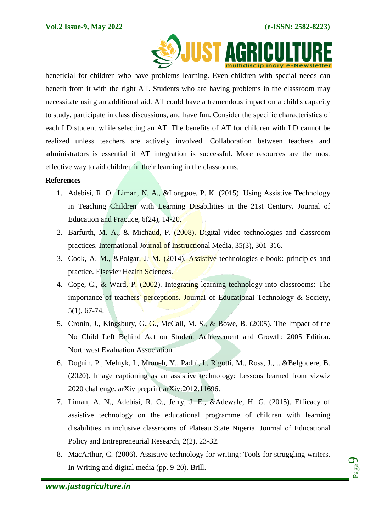

 beneficial for children who have problems learning. Even children with special needs can benefit from it with the right AT. Students who are having problems in the classroom may necessitate using an additional aid. AT could have a tremendous impact on a child's capacity to study, participate in class discussions, and have fun. Consider the specific characteristics of each LD student while selecting an AT. The benefits of AT for children with LD cannot be realized unless teachers are actively involved. Collaboration between teachers and administrators is essential if AT integration is successful. More resources are the most effective way to aid children in their learning in the classrooms.

# **References**

- 1. Adebisi, R. O., Liman, N. A., &Longpoe, P. K. (2015). Using Assistive Technology in Teaching Children with Learning Disabilities in the 21st Century. Journal of Education and Practice, 6(24), 14-20.
- 2. Barfurth, M. A., & Michaud, P. (2008). Digital video technologies and classroom practices. International Journal of Instructional Media, 35(3), 301-316.
- 3. Cook, A. M., &Polgar, J. M. (2014). Assistive technologies-e-book: principles and practice. Elsevier Health Sciences.
- 4. Cope, C., & Ward, P. (2002). Integrating learning technology into classrooms: The importance of teachers' perceptions. Journal of Educational Technology & Society, 5(1), 67-74.
- 5. Cronin, J., Kingsbury, G. G., McCall, M. S., & Bowe, B. (2005). The Impact of the No Child Left Behind Act on Student Achievement and Growth: 2005 Edition. Northwest Evaluation Association.
- 6. Dognin, P., Melnyk, I., Mroueh, Y., Padhi, I., Rigotti, M., Ross, J., ...&Belgodere, B. (2020). Image captioning as an assistive technology: Lessons learned from vizwiz 2020 challenge. arXiv preprint arXiv:2012.11696.
- 7. Liman, A. N., Adebisi, R. O., Jerry, J. E., &Adewale, H. G. (2015). Efficacy of assistive technology on the educational programme of children with learning disabilities in inclusive classrooms of Plateau State Nigeria. Journal of Educational Policy and Entrepreneurial Research, 2(2), 23-32.
- 8. MacArthur, C. (2006). Assistive technology for writing: Tools for struggling writers. In Writing and digital media (pp. 9-20). Brill.

Page  $\mathcal{O}$